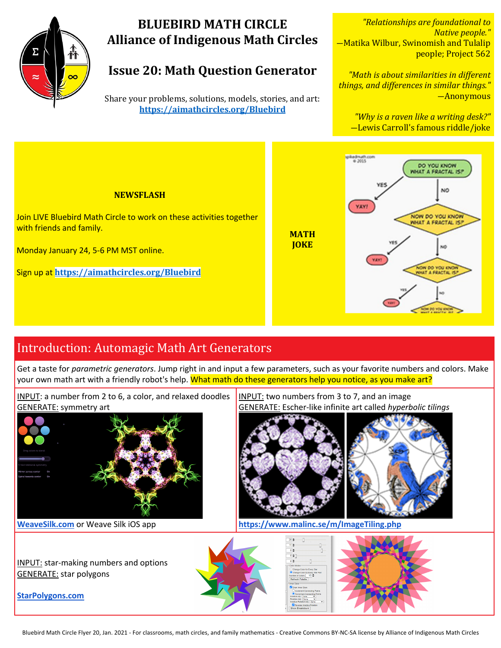

# **BLUEBIRD MATH CIRCLE Alliance of Indigenous Math Circles**

# **Issue 20: Math Question Generator**

Share your problems, solutions, models, stories, and art: **https://aimathcircles.org/Bluebird**

*"Relationships are foundational to Native people."* -Matika Wilbur, Swinomish and Tulalip people; Project 562

*"Math is about similarities in different things, and differences in similar things."* ―Anonymous

"Why is a raven like a writing desk?" -Lewis Carroll's famous riddle/joke



# Introduction: Automagic Math Art Generators

Get a taste for *parametric generators*. Jump right in and input a few parameters, such as your favorite numbers and colors. Make your own math art with a friendly robot's help. What math do these generators help you notice, as you make art?



**https://www.malinc.se/m/ImageTiling.php**

**StarPolygons.com**

GENERATE: star polygons

Bluebird Math Circle Flyer 20, Jan. 2021 - For classrooms, math circles, and family mathematics - Creative Commons BY-NC-SA license by Alliance of Indigenous Math Circles